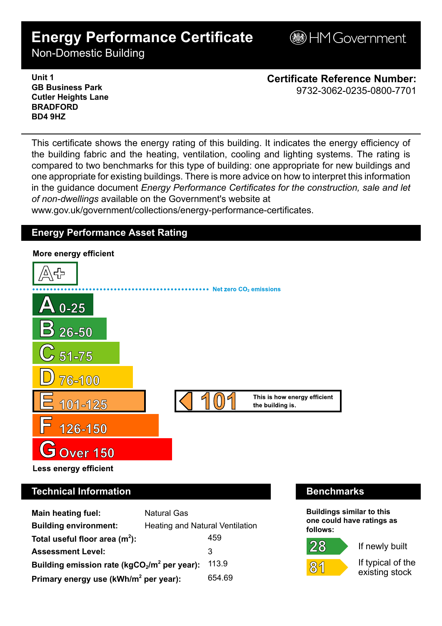# **Energy Performance Certificate**

**BHM Government** 

Non-Domestic Building

**Unit 1 GB Business Park Cutler Heights Lane BRADFORD BD4 9HZ**

**Certificate Reference Number:** 9732-3062-0235-0800-7701

This certificate shows the energy rating of this building. It indicates the energy efficiency of the building fabric and the heating, ventilation, cooling and lighting systems. The rating is compared to two benchmarks for this type of building: one appropriate for new buildings and one appropriate for existing buildings. There is more advice on how to interpret this information in the guidance document *Energy Performance Certificates for the construction, sale and let of non-dwellings* available on the Government's website at

www.gov.uk/government/collections/energy-performance-certificates.

# **Energy Performance Asset Rating**



| <b>Main heating fuel:</b>                         | <b>Natural Gas</b>                     |        |
|---------------------------------------------------|----------------------------------------|--------|
| <b>Building environment:</b>                      | <b>Heating and Natural Ventilation</b> |        |
| Total useful floor area $(m2)$ :                  |                                        | 459    |
| <b>Assessment Level:</b>                          |                                        | 3      |
| Building emission rate ( $kgCO2/m2$ per year):    |                                        | 113.9  |
| Primary energy use (kWh/m <sup>2</sup> per year): |                                        | 654.69 |

# **Technical Information Benchmarks**

**Buildings similar to this one could have ratings as follows:**

 $28$ 



If newly built

If typical of the existing stock